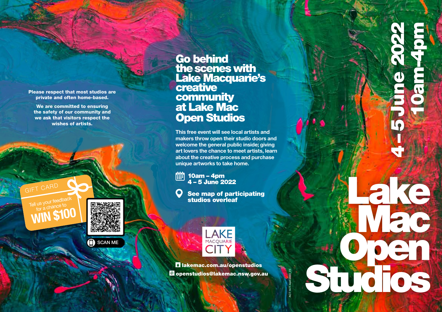Please respect that most studios are private and often home-based.

We are committed to ensuring the safety of our community and we ask that visitors respect the wishes of artists.

GIFT CARD<br>Tell us your feed



SCAN MEn)

Go behind the scenes with **\_** Lake Macquarie's creative **community** at Lake Mac Open Studios

This free event will see local artists and makers throw open their studio doors and welcome the general public inside; giving art lovers the chance to meet artists, learn about the creative process and purchase unique artworks to take home.

**Pull** 10am – 4pm 4 – 5 June 2022

See map of participating<br>studios overleaf 10am – 4pm<br>4 – 5 June 2022<br>See map of participating<br>studios overleaf



lakemac.com.au/openstudios openstudios@lakemac.nsw.gov.au

ACT 1477. April 2022\_V5

1477. April 2022\_\

Machine